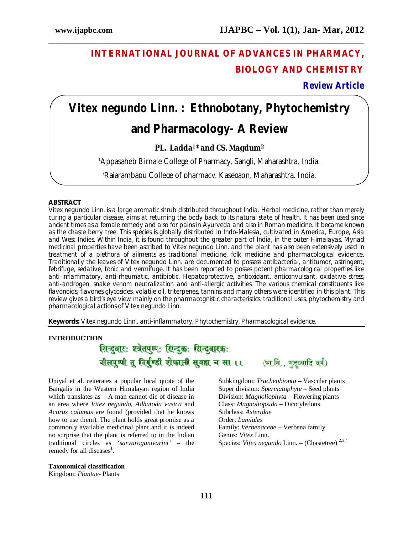# **INTERNATIONAL JOURNAL OF ADVANCES IN PHARMACY, BIOLOGY AND CHEMISTRY**

**Review Article**

# *Vitex negundo* **Linn. : Ethnobotany, Phytochemistry**

**\_\_\_\_\_\_\_\_\_\_\_\_\_\_\_\_\_\_\_\_\_\_\_\_\_\_\_\_\_\_\_\_\_\_\_\_\_\_\_\_\_\_\_\_\_\_\_\_\_\_\_\_\_\_\_\_\_\_\_\_\_\_\_\_\_\_\_\_\_\_\_\_\_\_\_\_\_\_**

# **and Pharmacology- A Review**

# **PL. Ladda1\* and CS. Magdum<sup>2</sup>**

**<sup>1</sup>**Appasaheb Birnale College of Pharmacy, Sangli, Maharashtra, India.

2Rajarambapu College of pharmacy, Kasegaon, Maharashtra, India.

# **ABSTRACT**

*Vitex negundo* Linn. is a large aromatic shrub distributed throughout India. Herbal medicine, rather than merely curing a particular disease, aims at returning the body back to its natural state of health. It has been used since ancient times as a female remedy and also for pains in Ayurveda and also in Roman medicine. It became known as the chaste berry tree. This species is globally distributed in Indo-Malesia, cultivated in America, Europe, Asia and West Indies. Within India, it is found throughout the greater part of India, in the outer Himalayas. Myriad medicinal properties have been ascribed to *Vitex negundo* Linn*.* and the plant has also been extensively used in treatment of a plethora of ailments as traditional medicine, folk medicine and pharmacological evidence. Traditionally the leaves of *Vitex negundo* Linn. are documented to possess antibacterial, antitumor, astringent, febrifuge, sedative, tonic and vermifuge. It has been reported to posses potent pharmacological properties like anti-inflammatory, anti-rheumatic, antibiotic, Hepatoprotective, antioxidant, anticonvulsant, oxidative stress, anti-androgen, snake venom neutralization and anti-allergic activities. The various chemical constituents like flavonoids, flavones glycosides, volatile oil, triterpenes, tannins and many others were identified in this plant. This review gives a bird's eye view mainly on the pharmacognistic characteristics. traditional uses, phytochemistry and pharmacological actions of *Vitex negundo* Linn.

**Keywords:** *Vitex negundo* Linn., anti-inflammatory, Phytochemistry, Pharmacological evidence.

# **INTRODUCTION**

# सिन्दवारः श्वेतपष्पः सिन्दकः सिन्दवारकः नीलपृष्यी तु निर्गण्डी शेफाली सुबहा च सा ।। (भानि.. गहच्यादि वर्ग)

Uniyal et al. reiterates a popular local quote of the Bangalis in the Western Himalayan region of India which translates as – A man cannot die of disease in an area where *Vitex negundo*, *Adhatoda vasica* and *Acorus calamus* are found (provided that he knows how to use them). The plant holds great promise as a commonly available medicinal plant and it is indeed no surprise that the plant is referred to in the Indian traditional circles as *'sarvaroganivarini'* – the remedy for all diseases<sup>1</sup>.

#### **Taxonomical classification**

Kingdom: *Plantae*- Plants

Subkingdom: *Tracheobionta* – Vascular plants Super division: *Spermatophyte* – Seed plants Division: *Magnoliophyta* – Flowering plants Class: *Magnoliopsida* – Dicotyledons Subclass: *Asteridae* Order: *Lamiales* Family: *Verbenaceae* – Verbena family Genus: *Vitex* Linn. Species: *Vitex negundo* Linn. – (Chastetree)<sup>2,3,4</sup>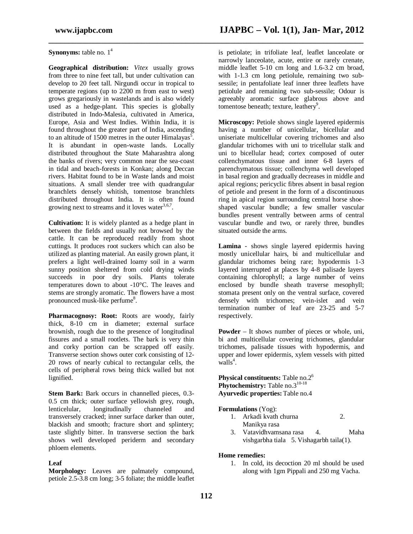# **Synonyms:** table no.  $1^4$

**Geographical distribution:** *Vitex* usually grows from three to nine feet tall, but under cultivation can develop to 20 feet tall. Nirgundi occur in tropical to temperate regions (up to 2200 m from east to west) grows gregariously in wastelands and is also widely used as a hedge-plant. This species is globally distributed in Indo-Malesia, cultivated in America, Europe, Asia and West Indies. Within India, it is found throughout the greater part of India, ascending to an altitude of 1500 metres in the outer Himalayas<sup>5</sup>. It is abundant in open-waste lands. Locally distributed throughout the State Maharashtra along the banks of rivers; very common near the sea-coast in tidal and beach-forests in Konkan; along Deccan rivers. Habitat found to be in Waste lands and moist situations. A small slender tree with quadrangular branchlets densely whitish, tomentose branchlets distributed throughout India. It is often found growing next to streams and it loves water<sup>3,6,7</sup>.

**Cultivation:** It is widely planted as a hedge plant in between the fields and usually not browsed by the cattle. It can be reproduced readily from shoot cuttings. It produces root suckers which can also be utilized as planting material. An easily grown plant, it prefers a light well-drained loamy soil in a warm sunny position sheltered from cold drying winds succeeds in poor dry soils. Plants tolerate temperatures down to about -10°C. The leaves and stems are strongly aromatic. The flowers have a most pronounced musk-like perfume<sup>8</sup>.

**Pharmacognosy: Root:** Roots are woody, fairly thick, 8-10 cm in diameter; external surface brownish, rough due to the presence of longitudinal fissures and a small rootlets. The bark is very thin and corky portion can be scrapped off easily. Transverse section shows outer cork consisting of 12- 20 rows of nearly cubical to rectangular cells, the cells of peripheral rows being thick walled but not lignified.

**Stem Bark:** Bark occurs in channelled pieces, 0.3- 0.5 cm thick; outer surface yellowish grey, rough, lenticelular, longitudinally channeled and transversely cracked; inner surface darker than outer, blackish and smooth; fracture short and splintery; taste slightly bitter. In transverse section the bark shows well developed periderm and secondary phloem elements.

#### **Leaf**

**Morphology:** Leaves are palmately compound, petiole 2.5-3.8 cm long; 3-5 foliate; the middle leaflet

**\_\_\_\_\_\_\_\_\_\_\_\_\_\_\_\_\_\_\_\_\_\_\_\_\_\_\_\_\_\_\_\_\_\_\_\_\_\_\_\_\_\_\_\_\_\_\_\_\_\_\_\_\_\_\_\_\_\_\_\_\_\_\_\_\_\_\_\_\_\_\_\_\_\_\_\_\_\_**

is petiolate; in trifoliate leaf, leaflet lanceolate or narrowly lanceolate, acute, entire or rarely crenate, middle leaflet 5-10 cm long and 1.6-3.2 cm broad, with 1-1.3 cm long petiolule, remaining two subsessile; in pentafoliate leaf inner three leaflets have petiolule and remaining two sub-sessile; Odour is agreeably aromatic surface glabrous above and tomentose beneath; texture, leathery<sup>9</sup>.

**Microscopy:** Petiole shows single layered epidermis having a number of unicellular, bicellular and uniseriate multicellular covering trichomes and also glandular trichomes with uni to tricellular stalk and uni to bicellular head; cortex composed of outer collenchymatous tissue and inner 6-8 layers of parenchymatous tissue; collenchyma well developed in basal region and gradually decreases in middle and apical regions; pericyclic fibres absent in basal region of petiole and present in the form of a discontinuous ring in apical region surrounding central horse shoeshaped vascular bundle; a few smaller vascular bundles present ventrally between arms of central vascular bundle and two, or rarely three, bundles situated outside the arms.

**Lamina** - shows single layered epidermis having mostly unicellular hairs, bi and multicellular and glandular trichomes being rare; hypodermis 1-3 layered interrupted at places by 4-8 palisade layers containing chlorophyll; a large number of veins enclosed by bundle sheath traverse mesophyll; stomata present only on the ventral surface, covered densely with trichomes; vein-islet and vein termination number of leaf are 23-25 and 5-7 respectively.

**Powder** – It shows number of pieces or whole, uni, bi and multicellular covering trichomes, glandular trichomes, palisade tissues with hypodermis, and upper and lower epidermis, xylem vessels with pitted  $\overline{\text{walls}}^4$ .

**Physical constituents:** Table no.2<sup>6</sup> **Phytochemistry:** Table no.3<sup>10-18</sup> **Ayurvedic properties:**Table no.4

#### **Formulations** (Yog):

- 1. Arkadi kvath churna 2. Manikya rasa
- 3. Vatavidhvamsana rasa 4. Maha vishgarbha tiala 5. Vishagarbh taila(1).

#### **Home remedies:**

1. In cold, its decoction 20 ml should be used along with 1gm Pippali and 250 mg Vacha.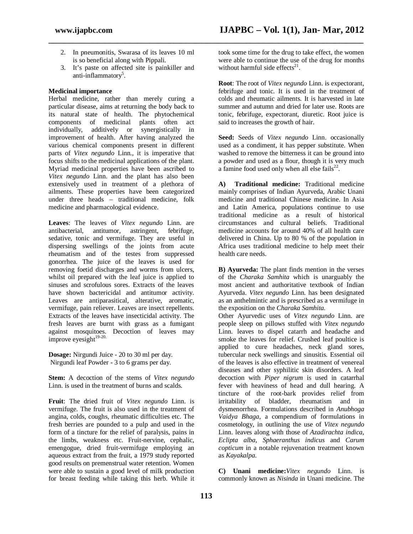2. In pneumonitis, Swarasa of its leaves 10 ml is so beneficial along with Pippali.

**\_\_\_\_\_\_\_\_\_\_\_\_\_\_\_\_\_\_\_\_\_\_\_\_\_\_\_\_\_\_\_\_\_\_\_\_\_\_\_\_\_\_\_\_\_\_\_\_\_\_\_\_\_\_\_\_\_\_\_\_\_\_\_\_\_\_\_\_\_\_\_\_\_\_\_\_\_\_**

3. It's paste on affected site is painkiller and anti-inflammatory<sup>5</sup>.

## **Medicinal importance**

Herbal medicine, rather than merely curing a particular disease, aims at returning the body back to its natural state of health. The phytochemical components of medicinal plants often act individually, additively or synergistically in improvement of health. After having analyzed the various chemical components present in different parts of *Vitex negundo* Linn*.*, it is imperative that focus shifts to the medicinal applications of the plant. Myriad medicinal properties have been ascribed to *Vitex negundo* Linn*.* and the plant has also been extensively used in treatment of a plethora of ailments. These properties have been categorized under three heads – traditional medicine, folk medicine and pharmacological evidence.

**Leaves**: The leaves of *Vitex negundo* Linn. are antitumor, astringent, febrifuge, sedative, tonic and vermifuge. They are useful in dispersing swellings of the joints from acute rheumatism and of the testes from suppressed gonorrhea. The juice of the leaves is used for removing foetid discharges and worms from ulcers, whilst oil prepared with the leaf juice is applied to sinuses and scrofulous sores. Extracts of the leaves have shown bactericidal and antitumor activity. Leaves are antiparasitical, alterative, aromatic, vermifuge, pain reliever. Leaves are insect repellents. Extracts of the leaves have insecticidal activity. The fresh leaves are burnt with grass as a fumigant against mosquitoes. Decoction of leaves may improve eyesight $19-20$ .

**Dosage:** Nirgundi Juice - 20 to 30 ml per day. Nirgundi leaf Powder - 3 to 6 grams per day.

**Stem:** A decoction of the stems of *Vitex negundo*  Linn. is used in the treatment of burns and scalds.

**Fruit**: The dried fruit of *Vitex negundo* Linn. is vermifuge. The fruit is also used in the treatment of angina, colds, coughs, rheumatic difficulties etc. The fresh berries are pounded to a pulp and used in the form of a tincture for the relief of paralysis, pains in the limbs, weakness etc. Fruit-nervine, cephalic, emengogue, dried fruit-vermifuge employing an aqueous extract from the fruit, a 1979 study reported good results on premenstrual water retention. Women were able to sustain a good level of milk production for breast feeding while taking this herb. While it took some time for the drug to take effect, the women were able to continue the use of the drug for months without harmful side effects $21$ .

**Root**: The root of *Vitex negundo* Linn. is expectorant, febrifuge and tonic. It is used in the treatment of colds and rheumatic ailments. It is harvested in late summer and autumn and dried for later use. Roots are tonic, febrifuge, expectorant, diuretic. Root juice is said to increases the growth of hair.

**Seed:** Seeds of *Vitex negundo* Linn. occasionally used as a condiment, it has pepper substitute. When washed to remove the bitterness it can be ground into a powder and used as a flour, though it is very much a famine food used only when all else fails $^{22}$ .

**A) Traditional medicine:** Traditional medicine mainly comprises of Indian Ayurveda, Arabic Unani medicine and traditional Chinese medicine. In Asia and Latin America, populations continue to use traditional medicine as a result of historical circumstances and cultural beliefs. Traditional medicine accounts for around 40% of all health care delivered in China. Up to 80 % of the population in Africa uses traditional medicine to help meet their health care needs.

**B) Ayurveda:** The plant finds mention in the verses of the *Charaka Samhita* which is unarguably the most ancient and authoritative textbook of Indian Ayurveda. *Vitex negundo* Linn*.* has been designated as an anthelmintic and is prescribed as a vermifuge in the exposition on the *Charaka Samhita.*

Other Ayurvedic uses of *Vitex negundo* Linn*.* are people sleep on pillows stuffed with *Vitex negundo*  Linn*.* leaves to dispel catarrh and headache and smoke the leaves for relief. Crushed leaf poultice is applied to cure headaches, neck gland sores, tubercular neck swellings and sinusitis. Essential oil of the leaves is also effective in treatment of venereal diseases and other syphilitic skin disorders. A leaf decoction with *Piper nigrum* is used in catarrhal fever with heaviness of head and dull hearing. A tincture of the root-bark provides relief from irritability of bladder, rheumatism and in dysmenorrhea. Formulations described in *Anubhoga Vaidya Bhaga*, a compendium of formulations in cosmetology, in outlining the use of *Vitex negundo*  Linn. leaves along with those of *Azadirachta indica*, *Eclipta alba*, *Sphaeranthus indicus* and *Carum copticum* in a notable rejuvenation treatment known as *Kayakalpa*.

**C) Unani medicine:***Vitex negundo* Linn. is commonly known as *Nisinda* in Unani medicine. The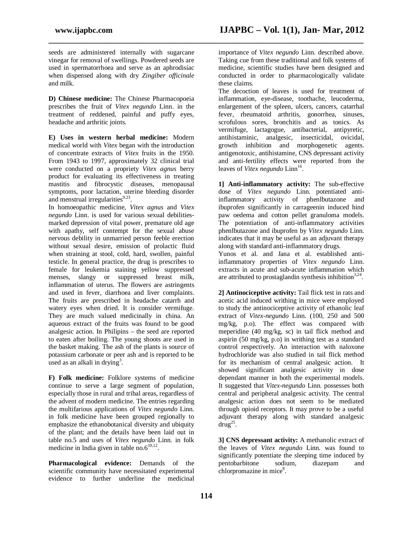seeds are administered internally with sugarcane vinegar for removal of swellings. Powdered seeds are used in spermatorrhoea and serve as an aphrodisiac when dispensed along with dry *Zingiber officinale*  and milk.

**\_\_\_\_\_\_\_\_\_\_\_\_\_\_\_\_\_\_\_\_\_\_\_\_\_\_\_\_\_\_\_\_\_\_\_\_\_\_\_\_\_\_\_\_\_\_\_\_\_\_\_\_\_\_\_\_\_\_\_\_\_\_\_\_\_\_\_\_\_\_\_\_\_\_\_\_\_\_**

**D) Chinese medicine:** The Chinese Pharmacopoeia prescribes the fruit of *Vitex negundo* Linn. in the treatment of reddened, painful and puffy eyes, headache and arthritic joints.

**E) Uses in western herbal medicine:** Modern medical world with *Vitex* began with the introduction of concentrate extracts of *Vitex* fruits in the 1950. From 1943 to 1997, approximately 32 clinical trial were conducted on a propriety *Vitex agnus* berry product for evaluating its effectiveness in treating mastitis and fibrocystic diseases, menopausal symptoms, poor lactation, uterine bleeding disorder and menstrual irregularities<sup>9,23</sup>.

In homoeopathic medicine, *Vitex agnus* and *Vitex negundo* Linn. is used for various sexual debilitiesmarked depression of vital power, premature old age with apathy, self contempt for the sexual abuse nervous debility in unmarried person feeble erection without sexual desire, emission of prolactic fluid when straining at stool, cold, hard, swollen, painful testicle. In general practice, the drug is prescribes to female for leukemia staining yellow suppressed menses, slangy or suppressed breast milk, inflammation of uterus. The flowers are astringents and used in fever, diarrhoea and liver complaints. The fruits are prescribed in headache catarrh and watery eyes when dried. It is consider vermifuge. They are much valued medicinally in china. An aqueous extract of the fruits was found to be good analgesic action. In Philipins – the seed are reported to eaten after boiling. The young shoots are used in the basket making. The ash of the plants is source of potassium carbonate or peer ash and is reported to be used as an alkali in drying<sup>3</sup>.

**F) Folk medicine:** Folklore systems of medicine continue to serve a large segment of population, especially those in rural and tribal areas, regardless of the advent of modern medicine. The entries regarding the multifarious applications of *Vitex negundo* Linn. in folk medicine have been grouped regionally to emphasize the ethanobotanical diversity and ubiquity of the plant; and the details have been laid out in table no.5 and uses of *Vitex negundo* Linn. in folk medicine in India given in table no. $6^{10,12}$ .

**Pharmacological evidence:** Demands of the scientific community have necessitated experimental evidence to further underline the medicinal importance of *Vitex negundo* Linn*.* described above. Taking cue from these traditional and folk systems of medicine, scientific studies have been designed and conducted in order to pharmacologically validate these claims.

The decoction of leaves is used for treatment of inflammation, eye-disease, toothache, leucoderma, enlargement of the spleen, ulcers, cancers, catarrhal fever, rheumatoid arthritis, gonorrhea, sinuses, scrofulous sores, bronchitis and as tonics. As vermifuge, lactagogue, antibacterial, antipyretic, antihistaminic, analgesic, insecticidal, ovicidal, growth inhibition and morphogenetic agents. antigenotoxic, antihistamine, CNS depressant activity and anti-fertility effects were reported from the leaves of *Vitex negundo* Linn<sup>16</sup>.

**1] Anti-inflammatory activity:** The sub-effective dose of *Vitex negundo* Linn*.* potentiated antiinflammatory activity of phenlbutazone and ibuprofen significantly in carrageenin induced hind paw oedema and cotton pellet granuloma models. The potentiation of anti-inflammatory activities phenlbutazone and ibuprofen by *Vitex negundo* Linn. indicates that it may be useful as an adjuvant therapy along with standard anti-inflammatory drugs.

Yunos et al. and Jana et al. established antiinflammatory properties of *Vitex negundo* Linn. extracts in acute and sub-acute inflammation which are attributed to prostaglandin synthesis inhibition<sup>3,24</sup>.

**2] Antinociceptive activity:** Tail flick test in rats and acetic acid induced writhing in mice were employed to study the antinociceptive activity of ethanolic leaf extract of *Vitex-negundo* Linn*.* (100, 250 and 500 mg/kg, p.o). The effect was compared with meperidine (40 mg/kg, sc) in tail flick method and aspirin (50 mg/kg, p.o) in writhing test as a standard control respectively. An interaction with naloxone hydrochloride was also studied in tail flick method for its mechanism of central analgesic action. It showed significant analgesic activity in dose dependant manner in both the experimental models. It suggested that *Vitex-negundo* Linn*.* possesses both central and peripheral analgesic activity. The central analgesic action does not seem to be mediated through opioid receptors. It may prove to be a useful adjuvant therapy along with standard analgesic  $\text{drug}^{25}$ .

**3] CNS depressant activity:** A methanolic extract of the leaves of *Vitex negundo* Linn*.* was found to significantly potentiate the sleeping time induced by<br>pentobarbitone sodium, diazepam and pentobarbitone sodium, diazepam and chlorpromazine in mice<sup>8</sup>.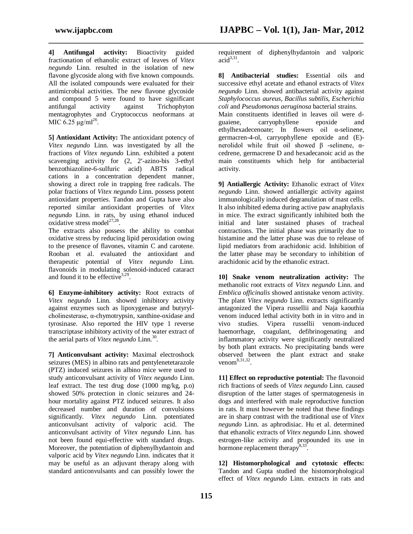**4] Antifungal activity:** Bioactivity guided fractionation of ethanolic extract of leaves of *Vitex negundo* Linn*.* resulted in the isolation of new flavone glycoside along with five known compounds. All the isolated compounds were evaluated for their antimicrobial activities. The new flavone glycoside and compound 5 were found to have significant antifungal activity against Trichophyton mentagrophytes and Cryptococcus neoformans at MIC  $6.25 \mu g/ml^{26}$ .

**5] Antioxidant Activity:** The antioxidant potency of *Vitex negundo* Linn. was investigated by all the fractions of *Vitex negundo* Linn. exhibited a potent scavenging activity for (2, 2′-azino-bis 3-ethyl benzothiazoline-6-sulfuric acid) ABTS radical cations in a concentration dependent manner, showing a direct role in trapping free radicals. The polar fractions of *Vitex negundo* Linn. possess potent antioxidant properties. Tandon and Gupta have also reported similar antioxidant properties of *Vitex negundo* Linn. in rats, by using ethanol induced oxidative stress model<sup>27,28</sup>.

The extracts also possess the ability to combat oxidative stress by reducing lipid peroxidation owing to the presence of flavones, vitamin C and carotene. Rooban et al. evaluated the antioxidant and therapeutic potential of *Vitex negundo* Linn*.* flavonoids in modulating solenoid-induced cataract and found it to be effective  $3,29$ .

**6] Enzyme-inhibitory activity:** Root extracts of *Vitex negundo* Linn*.* showed inhibitory activity against enzymes such as lipoxygenase and butyrylcholinesterase, α-chymotrypsin, xanthine-oxidase and tyrosinase. Also reported the HIV type 1 reverse transcriptase inhibitory activity of the water extract of the aerial parts of *Vitex negundo* Linn*.* 30 *.*

**7] Anticonvulsant activity:** Maximal electroshock seizures (MES) in albino rats and pentylenetetarazole (PTZ) induced seizures in albino mice were used to study anticonvulsant activity of *Vitex negundo* Linn. leaf extract. The test drug dose (1000 mg/kg, p.o) showed 50% protection in clonic seizures and 24 hour mortality against PTZ induced seizures. It also decreased number and duration of convulsions significantly. *Vitex negundo* Linn*.* potentiated anticonvulsant activity of valporic acid. The anticonvulsant activity of *Vitex negundo* Linn*.* has not been found equi-effective with standard drugs. Moreover, the potentiation of diphenylhydantoin and valporic acid by *Vitex negundo* Linn*.* indicates that it may be useful as an adjuvant therapy along with standard anticonvulsants and can possibly lower the

**\_\_\_\_\_\_\_\_\_\_\_\_\_\_\_\_\_\_\_\_\_\_\_\_\_\_\_\_\_\_\_\_\_\_\_\_\_\_\_\_\_\_\_\_\_\_\_\_\_\_\_\_\_\_\_\_\_\_\_\_\_\_\_\_\_\_\_\_\_\_\_\_\_\_\_\_\_\_**

requirement of diphenylhydantoin and valporic  $\overline{\text{acid}}^{3,31}$ .

**8] Antibacterial studies:** Essential oils and successive ethyl acetate and ethanol extracts of *Vitex negundo* Linn. showed antibacterial activity against *Staphylococcus aureus, Bacillus subtilis, Escherichia coli* and *Pseudomonas aeruginosa* bacterial strains. Main constituents identified in leaves oil were dguaiene, carryophyllene epoxide and ethylhexadecenoate; In flowers oil α-selinene, germacren-4-ol, carryophyllene epoxide and (E) nerolidol while fruit oil showed β -selinene, αcedrene, germacrene D and hexadecanoic acid as the main constituents which help for antibacterial activity.

**9] Antiallergic Activity:** Ethanolic extract of *Vitex negundo* Linn. showed antiallergic activity against immunologically induced degranulation of mast cells. It also inhibited edema during active paw anaphylaxis in mice. The extract significantly inhibited both the initial and later sustained phases of tracheal contractions. The initial phase was primarily due to histamine and the latter phase was due to release of lipid mediators from arachidonic acid. Inhibition of the latter phase may be secondary to inhibition of arachidonic acid by the ethanolic extract.

**10] Snake venom neutralization activity:** The methanolic root extracts of *Vitex negundo* Linn. and *Emblica officinalis* showed antisnake venom activity. The plant *Vitex negundo* Linn. extracts significantly antagonized the Vipera russellii and Naja kaouthia venom induced lethal activity both in in vitro and in vivo studies. Vipera russellii venom-induced haemorrhage, coagulant, defibrinogenating and inflammatory activity were significantly neutralized by both plant extracts. No precipitating bands were observed between the plant extract and snake venom $^{8,31,32}$ .

**11] Effect on reproductive potential:** The flavonoid rich fractions of seeds of *Vitex negundo* Linn*.* caused disruption of the latter stages of spermatogenesis in dogs and interfered with male reproductive function in rats. It must however be noted that these findings are in sharp contrast with the traditional use of *Vitex negundo* Linn*.* as aphrodisiac. Hu et al. determined that ethanolic extracts of *Vitex negundo* Linn*.* showed estrogen-like activity and propounded its use in hormone replacement therapy $8,33$ .

**12] Histomorphological and cytotoxic effects:** Tandon and Gupta studied the histomorphological effect of *Vitex negundo* Linn*.* extracts in rats and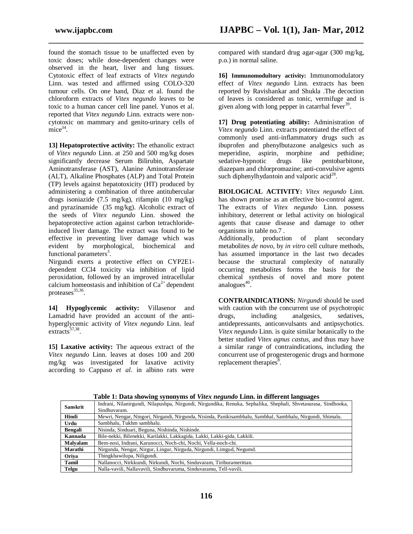found the stomach tissue to be unaffected even by toxic doses; while dose-dependent changes were observed in the heart, liver and lung tissues. Cytotoxic effect of leaf extracts of *Vitex negundo*  Linn*.* was tested and affirmed using COLO-320 tumour cells. On one hand, Diaz et al. found the chloroform extracts of *Vitex negundo* leaves to be toxic to a human cancer cell line panel. Yunos et al. reported that *Vitex negundo* Linn*.* extracts were noncytotoxic on mammary and genito-urinary cells of  $\text{mice}^{34}$ .

**13] Hepatoprotective activity:** The ethanolic extract of *Vitex negundo* Linn. at 250 and 500 mg/kg doses significantly decrease Serum Bilirubin, Aspartate Aminotransferase (AST), Alanine Aminotransferase (ALT), Alkaline Phosphates (ALP) and Total Protein (TP) levels against hepatotoxicity (HT) produced by administering a combination of three antitubercular drugs isoniazide (7.5 mg/kg), rifampin (10 mg/kg) and pyrazinamide (35 mg/kg). Alcoholic extract of the seeds of *Vitex negundo* Linn. showed the hepatoprotective action against carbon tetrachlorideinduced liver damage. The extract was found to be effective in preventing liver damage which was<br>evident by morphological, biochemical and evident by morphological, biochemical and functional parameters<sup>3</sup>.

Nirgundi exerts a protective effect on CYP2E1 dependent CCl4 toxicity via inhibition of lipid peroxidation, followed by an improved intracellular calcium homeostasis and inhibition of  $Ca<sup>2+</sup>$  dependent proteases<sup>35,36</sup>.

**14] Hypoglycemic activity:** Villasenor and Lamadrid have provided an account of the antihyperglycemic activity of *Vitex negundo* Linn. leaf  $extracts<sup>37,38</sup>$ .

**15] Laxative activity:** The aqueous extract of the *Vitex negundo* Linn*.* leaves at doses 100 and 200 mg/kg was investigated for laxative activity according to Cappaso *et al*. in albino rats were

compared with standard drug agar-agar (300 mg/kg, p.o.) in normal saline.

**16] Immunomodultory activity:** Immunomodulatory effect of *Vitex negundo* Linn*.* extracts has been reported by Ravishankar and Shukla .The decoction of leaves is considered as tonic, vermifuge and is given along with long pepper in catarrhal fever<sup>39</sup>.

**17] Drug potentiating ability:** Administration of *Vitex negundo* Linn*.* extracts potentiated the effect of commonly used anti-inflammatory drugs such as ibuprofen and phenylbutazone analgesics such as meperidine, aspirin, morphine and pethidine; sedative-hypnotic drugs like pentobarbitone, diazepam and chlorpromazine; anti-convulsive agents such diphenylhydantoin and valporic  $\arccos$ <sup>28</sup>.

**BIOLOGICAL ACTIVITY:** *Vitex negundo* Linn*.*  has shown promise as an effective bio-control agent. The extracts of *Vitex negundo* Linn*.* possess inhibitory, deterrent or lethal activity on biological agents that cause disease and damage to other organisms in table no.7 .

Additionally, production of plant secondary metabolites *de novo*, by *in vitro* cell culture methods, has assumed importance in the last two decades because the structural complexity of naturally occurring metabolites forms the basis for the chemical synthesis of novel and more potent analogues $^{40}$ .

**CONTRAINDICATIONS:** *Nirgundi* should be used with caution with the concurrent use of psychotropic drugs, including analgesics, sedatives, antidepressants, anticonvulsants and antipsychotics. *Vitex negundo* Linn*.* is quite similar botanically to the better studied *Vitex agnus castus,* and thus may have a similar range of contraindications, including the concurrent use of progesterogenic drugs and hormone replacement therapies<sup>8</sup>.

| <b>Sanskrit</b> | Indrani, Nilanirgundi, Nilapushpa, Nirgundi, Nirgundika, Renuka, Sephalika, Shephali, Shvetasurasa, Sindhooka, |  |  |
|-----------------|----------------------------------------------------------------------------------------------------------------|--|--|
|                 | Sindhuvaram.                                                                                                   |  |  |
| Hindi           | Mewri, Nengar, Ningori, Nirgandi, Nirgunda, Nisinda, Panikisambhalu, Sambhal, Sambhalu, Nirgundi, Shimalu.     |  |  |
| Urdu            | Sambhalu, Tukhm sambhalu.                                                                                      |  |  |
| <b>Bengali</b>  | Nisinda, Sinduari, Beguna, Nishinda, Nishinde.                                                                 |  |  |
| Kannada         | Bile-nekki, Bilenekki, Karilakki, Lakkagida, Lakki, Lakki-gida, Lakkili.                                       |  |  |
| Malvalam        | Bem-nosi, Indrani, Karunocci, Noch-chi, Nochi, Vella-noch-chi.                                                 |  |  |
| Marathi         | Nirgunda, Nengar, Nirgur, Lingur, Nirguda, Nirgundi, Limgud, Negumd.                                           |  |  |
| Oriva           | Thingkhawilupa, Niligundi.                                                                                     |  |  |
| Tamil           | Nallanocci, Nirkkundi, Nirkundi, Nochi, Sinduvaram, Tiriburamerittan.                                          |  |  |
| Telgu           | Nalla-vavili, Nallavavili, Sindhuvaruma, Sinduvaramu, Tell-vavili,                                             |  |  |

**Table 1: Data showing synonyms of** *Vitex negundo* **Linn. in different languages**

**\_\_\_\_\_\_\_\_\_\_\_\_\_\_\_\_\_\_\_\_\_\_\_\_\_\_\_\_\_\_\_\_\_\_\_\_\_\_\_\_\_\_\_\_\_\_\_\_\_\_\_\_\_\_\_\_\_\_\_\_\_\_\_\_\_\_\_\_\_\_\_\_\_\_\_\_\_\_**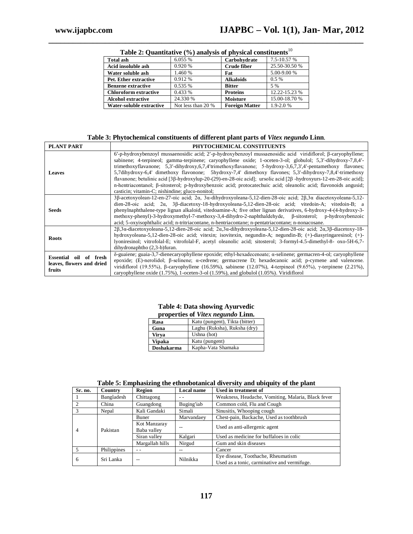r

| <b>Total ash</b>             | 6.055 %            | Carbohydrate          | 7.5-10.57 %   |  |
|------------------------------|--------------------|-----------------------|---------------|--|
| Acid insoluble ash           | 0.920 %            | <b>Crude fiber</b>    | 25.50-30.50 % |  |
| Water soluble ash            | 1.460 %            | Fat                   | 5.00-9.00 %   |  |
| Pet. Ether extractive        | 0.912 %            | <b>Alkaloids</b>      | $0.5\%$       |  |
| <b>Benzene extractive</b>    | 0.535 %            | <b>Bitter</b>         | 5 %           |  |
| <b>Chloroform extractive</b> | 0.433 %            | <b>Proteins</b>       | 12.22-15.23 % |  |
| <b>Alcohol extractive</b>    | 24.330 %           | Moisture              | 15.00-18.70 % |  |
| Water-soluble extractive     | Not less than 20 % | <b>Foreign Matter</b> | $1.9 - 2.0 %$ |  |

**\_\_\_\_\_\_\_\_\_\_\_\_\_\_\_\_\_\_\_\_\_\_\_\_\_\_\_\_\_\_\_\_\_\_\_\_\_\_\_\_\_\_\_\_\_\_\_\_\_\_\_\_\_\_\_\_\_\_\_\_\_\_\_\_\_\_\_\_\_\_\_\_\_\_\_\_\_\_ Table 2: Quantitative (%) analysis of physical constituents**<sup>10</sup>

### **Table 3: Phytochemical constituents of different plant parts of** *Vitex negundo* **Linn***.*

| PLANT PART                                                    | PHYTOCHEMICAL CONSTITUENTS                                                                                                                                                                                                                                                                                                                                                                                                                                                                                                                                                                                                                                                                                                                                         |
|---------------------------------------------------------------|--------------------------------------------------------------------------------------------------------------------------------------------------------------------------------------------------------------------------------------------------------------------------------------------------------------------------------------------------------------------------------------------------------------------------------------------------------------------------------------------------------------------------------------------------------------------------------------------------------------------------------------------------------------------------------------------------------------------------------------------------------------------|
| <b>Leaves</b>                                                 | $6'$ -p-hydroxybenzoyl mussaenosidic acid; $2'$ -p-hydroxybenzoyl mussaenosidic acid viridiflorol; $\beta$ -caryophyllene;<br>sabinene; 4-terpineol; gamma-terpinene; caryophyllene oxide; 1-oceten-3-ol; globulol; 5,3'-dihydroxy-7,8,4'-<br>trimethoxyflavanone; 5.3'-dihydroxy,6,7,4'trimethoxyflavanone; 5-hydroxy-3,6,7,3',4'-pentamethoxy flavones;<br>5,7dihydroxy-6,4' dimethoxy flavonone; 5hydroxy-7,4' dimethoxy flavones; 5,3'-dihydroxy-7,8,4'-trimethoxy<br>flavanone; betulinic acid [3β-hydroxylup-20-(29)-en-28-oic acid]; ursolic acid [2β-hydroxyurs-12-en-28-oic acid];<br>n-hentriacontanol; β-sitosterol; p-hydroxybenzoic acid; protocatechuic acid; oleanolic acid; flavonoids angusid;<br>casticin; vitamin-C; nishindine; gluco-nonitol; |
| <b>Seeds</b>                                                  | $3\beta$ -acetoxyolean-12-en-27-oic acid; $2\alpha$ , $3\alpha$ -dihydroxyoleana-5,12-dien-28-oic acid; $2\beta$ , $3\alpha$ diacetoxyoleana-5,12-<br>dien-28-oic acid; $2\alpha$ , $3\beta$ -diacetoxy-18-hydroxyoleana-5,12-dien-28-oic acid; vitedoin-A; vitedoin-B; a<br>phenylnaphthalene-type lignan alkaloid, vitedoamine-A; five other lignan derivatives, 6-hydroxy-4-(4-hydroxy-3-<br>methoxy-phenyl)-3-hydroxymethyl-7-methoxy-3,4-dihydro-2-naphthaldehyde, B-sitosterol; p-hydroxybenzoic<br>acid; 5-oxyisophthalic acid; n-tritriacontane, n-hentriacontane; n-pentatriacontane; n-nonacosane.                                                                                                                                                       |
| <b>Roots</b>                                                  | $2\beta$ , 3 $\alpha$ -diacetoxyoleana-5,12-dien-28-oic acid; $2\alpha$ , 3 $\alpha$ -dihydroxyoleana-5,12-dien-28-oic acid; $2\alpha$ , 3 $\beta$ -diacetoxy-18-<br>hydroxyoleana-5,12-dien-28-oic acid; vitexin; isovitexin, negundin-A; negundin-B; (+)-diasyringaresinol; (+)-<br>lyoniresinol; vitrofolal-E; vitrofolal-F, acetyl oleanolic acid; sitosterol; 3-formyl-4.5-dimethyl-8- oxo-5H-6,7-<br>dihydronaphtho (2,3-b)furan.                                                                                                                                                                                                                                                                                                                            |
| Essential oil of fresh<br>leaves, flowers and dried<br>fruits | δ-guaiene; guaia-3,7-dienecaryophyllene epoxide; ethyl-hexadecenoate; α-selinene; germacren-4-ol; caryophyllene<br>epoxide; (E)-nerolidol; β-selinene; α-cedrene; germacrene D; hexadecanoic acid; p-cymene and valencene.<br>viridiflorol (19.55%), $\beta$ -caryophyllene (16.59%), sabinene (12.07%), 4-terpineol (9.65%), $\gamma$ -terpinene (2.21%),<br>caryophyllene oxide $(1.75\%)$ , 1-oceten-3-ol $(1.59\%)$ , and globulol $(1.05\%)$ . Viridiflorol                                                                                                                                                                                                                                                                                                   |

#### **Table 4: Data showing Ayurvedic properties of** *Vitex negundo* **Linn.**

| Rasa              | Katu (pungent), Tikta (bitter) |
|-------------------|--------------------------------|
| Guna              | Laghu (Ruksha), Ruksha (dry)   |
| Virya             | Ushna (hot)                    |
| Vipaka            | Katu (pungent)                 |
| <b>Doshakarma</b> | Kapha-Vata Shamaka             |

|  |  | Table 5: Emphasizing the ethnobotanical diversity and ubiquity of the plant |  |
|--|--|-----------------------------------------------------------------------------|--|
|  |  |                                                                             |  |

| Sr. no.        | Country     | Region          | Local name                                  | Used in treatment of                               |
|----------------|-------------|-----------------|---------------------------------------------|----------------------------------------------------|
|                | Bangladesh  | Chittagong      |                                             | Weakness, Headache, Vomiting, Malaria, Black fever |
|                | China       | Guangdong       | Buging'iab                                  | Common cold, Flu and Cough                         |
|                | Nepal       | Kali Gandaki    | Simali                                      | Sinusitis, Whooping cough                          |
| $\overline{4}$ | Pakistan    | Buner           | Marvandaev                                  | Chest-pain, Backache, Used as toothbrush           |
|                |             | Kot Manzaray    |                                             | Used as anti-allergenic agent                      |
|                |             | Baba valley     |                                             |                                                    |
|                |             | Siran valley    | Kalgari                                     | Used as medicine for buffaloes in colic            |
|                |             | Margallah hills | Nirgud                                      | Gum and skin diseases                              |
|                | Philippines | $ -$            | --                                          | Cancer                                             |
| 6              | Sri Lanka   | Nilnikka<br>--  |                                             | Eye disease, Toothache, Rheumatism                 |
|                |             |                 | Used as a tonic, carminative and vermifuge. |                                                    |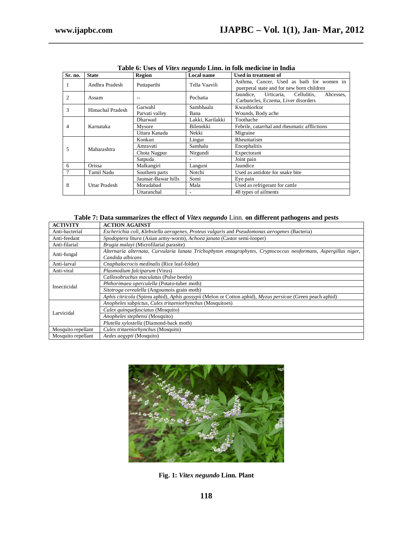| Sr. no.               | <b>State</b>   | Region              | <b>Local name</b> | Used in treatment of                                                                    |
|-----------------------|----------------|---------------------|-------------------|-----------------------------------------------------------------------------------------|
| 1                     | Andhra Pradesh | Puttaparthi         | Tella Vaavili     | Asthma, Cancer, Used as bath for women in<br>puerperal state and for new born children  |
| 2                     | Assam          |                     | Pochatia          | Jaundice. Urticaria.<br>Cellulitis.<br>Abcesses,<br>Carbuncles, Eczema, Liver disorders |
|                       |                | Garwahl             | Sambhaalu         | Kwashiorkor                                                                             |
| 3<br>Himachal Pradesh |                | Parvati valley      | Bana              | Wounds, Body ache                                                                       |
| 4                     |                | <b>Dharwad</b>      | Lakki, Karilakki  | Toothache                                                                               |
|                       | Karnataka      | Mysore              | Bilenekki         | Febrile, catarrhal and rheumatic afflictions                                            |
|                       |                | Uttara Kanada       | Nekki             | Migraine                                                                                |
|                       | Maharashtra    | Konkan              | Lingur            | Rheumatism                                                                              |
|                       |                | Amravati            | Samhalu           | Encephalitis                                                                            |
| 5                     |                | Chota Nagpur        | Nirgundi          | Expectorant                                                                             |
|                       |                | Satpuda             |                   | Joint pain                                                                              |
| 6                     | Orissa         | Malkangiri          | Languni           | Jaundice                                                                                |
|                       | Tamil Nadu     | Southern parts      | Notchi            | Used as antidote for snake bite                                                         |
| 8                     | Uttar Pradesh  | Jaunsar-Bawar hills | Somi              | Eye pain                                                                                |
|                       |                | Moradabad           | Mala              | Used as refrigerant for cattle                                                          |
|                       |                | Uttaranchal         |                   | 48 types of ailments                                                                    |

**Table 6: Uses of** *Vitex negundo* **Linn. in folk medicine in India**

**\_\_\_\_\_\_\_\_\_\_\_\_\_\_\_\_\_\_\_\_\_\_\_\_\_\_\_\_\_\_\_\_\_\_\_\_\_\_\_\_\_\_\_\_\_\_\_\_\_\_\_\_\_\_\_\_\_\_\_\_\_\_\_\_\_\_\_\_\_\_\_\_\_\_\_\_\_\_**

| <b>ACTIVITY</b>    | <b>ACTION AGAINST</b>                                                                                                               |  |  |
|--------------------|-------------------------------------------------------------------------------------------------------------------------------------|--|--|
| Anti-bacterial     | Escherichia coli, Klebsiella aerogenes, Proteus vulgaris and Pseudomonas aerogenes (Bacteria)                                       |  |  |
| Anti-feedant       | Spodoptera litura (Asian army-worm), Achoea janata (Castor semi-looper)                                                             |  |  |
| Anti-filarial      | Brugia malayi (Microfilarial parasite)                                                                                              |  |  |
| Anti-fungal        | Alternaria alternata, Curvularia lunata Trichophyton entagrophytes, Cryptococcus neoformans, Aspergillus niger,<br>Candida albicans |  |  |
| Anti-larval        | Cnaphalocrocis medinalis (Rice leaf-folder)                                                                                         |  |  |
| Anti-viral         | <i>Plasmodium falciparum</i> (Virus)                                                                                                |  |  |
|                    | Callosobruchus maculatus (Pulse beetle)                                                                                             |  |  |
| Insecticidal       | Phthorimaea operculella (Potato-tuber moth)                                                                                         |  |  |
|                    | Sitotroga cerealella (Angoumois grain moth)                                                                                         |  |  |
|                    | Aphis citricola (Spirea aphid), Aphis gossypii (Melon or Cotton aphid), Myzus persicae (Green peach aphid)                          |  |  |
|                    | Anopheles subpictus, Culex tritaeniorhynchus (Mosquitoes)                                                                           |  |  |
| Larvicidal         | Culex quinquefasciatus (Mosquito)                                                                                                   |  |  |
|                    | Anopheles stephensi (Mosquito)                                                                                                      |  |  |
|                    | Plutella xylostella (Diamond-back moth)                                                                                             |  |  |
| Mosquito repellant | Culex tritaeniorhynchus (Mosquito)                                                                                                  |  |  |
| Mosquito repellant | Aedes aegypti (Mosquito)                                                                                                            |  |  |



**Fig. 1:** *Vitex negundo* **Linn. Plant**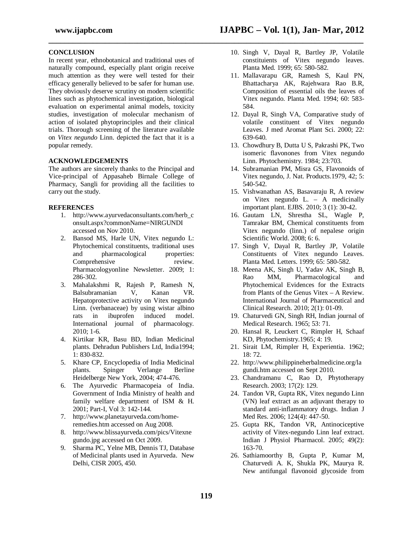# **www.ijapbc.com IJAPBC – Vol. 1(1), Jan- Mar, 2012**

**\_\_\_\_\_\_\_\_\_\_\_\_\_\_\_\_\_\_\_\_\_\_\_\_\_\_\_\_\_\_\_\_\_\_\_\_\_\_\_\_\_\_\_\_\_\_\_\_\_\_\_\_\_\_\_\_\_\_\_\_\_\_\_\_\_\_\_\_\_\_\_\_\_\_\_\_\_\_**

#### **CONCLUSION**

In recent year, ethnobotanical and traditional uses of naturally compound, especially plant origin receive much attention as they were well tested for their efficacy generally believed to be safer for human use. They obviously deserve scrutiny on modern scientific lines such as phytochemical investigation, biological evaluation on experimental animal models, toxicity studies, investigation of molecular mechanism of action of isolated phytoprinciples and their clinical trials. Thorough screening of the literature available on *Vitex negundo* Linn. depicted the fact that it is a popular remedy.

#### **ACKNOWLEDGEMENTS**

The authors are sincerely thanks to the Principal and Vice-principal of Appasaheb Birnale College of Pharmacy, Sangli for providing all the facilities to carry out the study.

#### **REFERENCES**

- 1. http://www.ayurvedaconsultants.com/herb\_c onsult.aspx?commonName=NIRGUNDI accessed on Nov 2010.
- 2. Bansod MS, Harle UN, Vitex negundo L: Phytochemical constituents, traditional uses and pharmacological properties: Comprehensive review. Pharmacologyonline Newsletter. 2009; 1: 286-302.
- 3. Mahalakshmi R, Rajesh P, Ramesh N, Balsubramanian V, Kanan VR. Hepatoprotective activity on Vitex negundo Linn. (verbanaceae) by using wistar albino<br>rats in ibuprofen induced model. rats in ibuprofen induced model. International journal of pharmacology. 2010; 1-6.
- 4. Kirtikar KR, Basu BD, Indian Medicinal plants. Dehradun Publishers Ltd, India1994; 1: 830-832.
- 5. Khare CP, Encyclopedia of India Medicinal plants. Spinger Verlange Berline Heidelberge New York, 2004; 474-476.
- 6. The Ayurvedic Pharmacopeia of India. Government of India Ministry of health and family welfare department of ISM & H. 2001; Part-I, Vol 3: 142-144.
- 7. http://www.planetayurveda.com/homeremedies.htm accessed on Aug 2008.
- 8. http://www.blissayurveda.com/pics/Vitexne gundo.jpg accessed on Oct 2009.
- 9. Sharma PC, Yelne MB, Dennis TJ, Database of Medicinal plants used in Ayurveda. New Delhi, CISR 2005, 450.
- 10. Singh V, Dayal R, Bartley JP, Volatile constituients of Vitex negundo leaves. Planta Med. 1999; 65: 580-582.
- 11. Mallavarapu GR, Ramesh S, Kaul PN, Bhattacharya AK, Rajehwara Rao B.R, Composition of essential oils the leaves of Vitex negundo. Planta Med. 1994; 60: 583- 584.
- 12. Dayal R, Singh VA, Comparative study of volatile constituent of Vitex negundo Leaves. J med Aromat Plant Sci. 2000; 22: 639-640.
- 13. Chowdhury B, Dutta U S, Pakrashi PK, Two isomeric flavonones from Vitex negundo Linn. Phytochemistry. 1984; 23:703.
- 14. Subramanian PM, Misra GS, Flavonoids of Vitex negundo, J. Nat. Products.1979, 42; 5: 540-542.
- 15. Vishwanathan AS, Basavaraju R, A review on Vitex negundo L. – A medicinally important plant. EJBS. 2010; 3 (1): 30-42.
- 16. Gautam LN, Shrestha SL, Wagle P, Tamrakar BM, Chemical constituents from Vitex negundo (linn.) of nepalese origin Scientific World. 2008; 6: 6.
- 17. Singh V, Dayal R, Bartley JP, Volatile Constituents of Vitex negundo Leaves. Planta Med. Letters. 1999; 65: 580-582.
- 18. Meena AK, Singh U, Yadav AK, Singh B, Rao MM, Pharmacological and Phytochemical Evidences for the Extracts from Plants of the Genus Vitex – A Review. International Journal of Pharmaceutical and Clinical Research. 2010; 2(1): 01-09.
- 19. Chaturvedi GN, Singh RH, Indian journal of Medical Research. 1965; 53: 71.
- 20. Hansal R, Leuckert C, Rimpler H, Schaaf KD, Phytochemistry.1965; 4: 19.
- 21. Sirait LM, Rimpler H, Experientia. 1962; 18: 72.
- 22. http://www.philippineherbalmedicine.org/la gundi.htm accessed on Sept 2010.
- 23. Chandramanu C, Rao D, Phytotherapy Research. 2003; 17(2): 129.
- 24. Tandon VR, Gupta RK, Vitex negundo Linn (VN) leaf extract as an adjuvant therapy to standard anti-inflammatory drugs. Indian J Med Res. 2006; 124(4): 447-50.
- 25. Gupta RK, Tandon VR, Antinociceptive activity of Vitex-negundo Linn leaf extract. Indian J Physiol Pharmacol. 2005; 49(2): 163-70.
- 26. Sathiamoorthy B, Gupta P, Kumar M, Chaturvedi A. K, Shukla PK, Maurya R. New antifungal flavonoid glycoside from